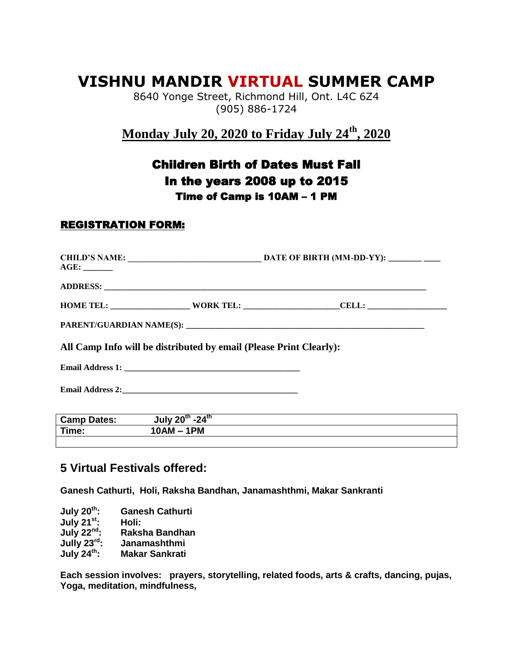## **VISHNU MANDIR VIRTUAL SUMMER CAMP**

8640 Yonge Street, Richmond Hill, Ont. L4C 6Z4 (905) 886-1724

**Monday July 20, 2020 to Friday July 24th, 2020**

## Children Birth of Dates Must Fall In the years 2008 up to 2015 Time of Camp is 10AM – 1 PM

## REGISTRATION FORM:

| AGE: |                                                                    |  |
|------|--------------------------------------------------------------------|--|
|      |                                                                    |  |
|      |                                                                    |  |
|      |                                                                    |  |
|      | All Camp Info will be distributed by email (Please Print Clearly): |  |
|      |                                                                    |  |
|      |                                                                    |  |

| <b>Camp Dates:</b> | -24 $th$<br>July 20 <sup>th</sup> |  |
|--------------------|-----------------------------------|--|
| Time:              | 1PM<br>$10AM -$                   |  |
|                    |                                   |  |

## **5 Virtual Festivals offered:**

**Ganesh Cathurti, Holi, Raksha Bandhan, Janamashthmi, Makar Sankranti**

**July 20th: Ganesh Cathurti July 21st**:<br>**July 22nd**: **July 22nd: Raksha Bandhan Jully 23rd: Janamashthmi July 24th: Makar Sankrati**

**Each session involves: prayers, storytelling, related foods, arts & crafts, dancing, pujas, Yoga, meditation, mindfulness,**